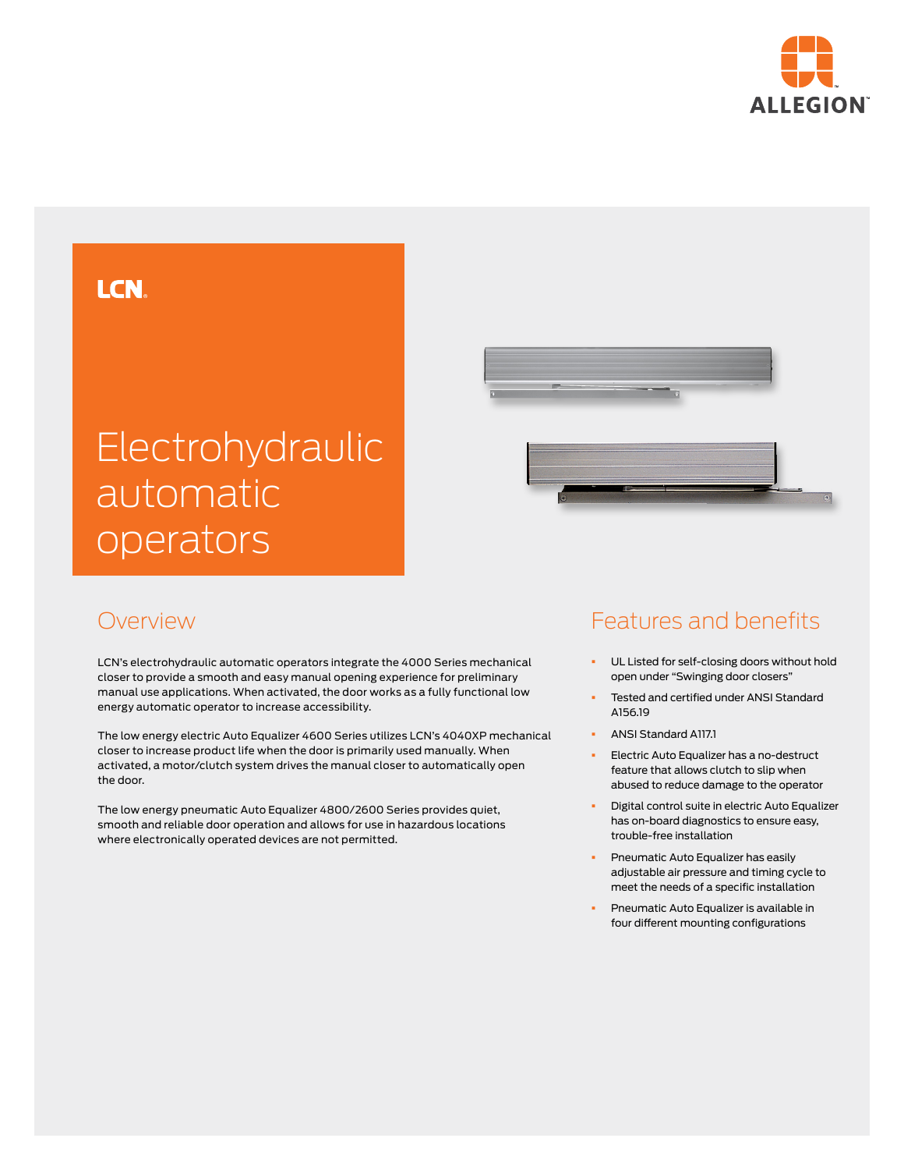

## **LCN**

# Electrohydraulic automatic operators



#### Overview

LCN's electrohydraulic automatic operators integrate the 4000 Series mechanical closer to provide a smooth and easy manual opening experience for preliminary manual use applications. When activated, the door works as a fully functional low energy automatic operator to increase accessibility.

The low energy electric Auto Equalizer 4600 Series utilizes LCN's 4040XP mechanical closer to increase product life when the door is primarily used manually. When activated, a motor/clutch system drives the manual closer to automatically open the door.

The low energy pneumatic Auto Equalizer 4800/2600 Series provides quiet, smooth and reliable door operation and allows for use in hazardous locations where electronically operated devices are not permitted.

## Features and benefits

- **•** UL Listed for self-closing doors without hold open under "Swinging door closers"
- § Tested and certified under ANSI Standard A156.19
- § ANSI Standard A117.1
- § Electric Auto Equalizer has a no-destruct feature that allows clutch to slip when abused to reduce damage to the operator
- § Digital control suite in electric Auto Equalizer has on-board diagnostics to ensure easy, trouble-free installation
- § Pneumatic Auto Equalizer has easily adjustable air pressure and timing cycle to meet the needs of a specific installation
- § Pneumatic Auto Equalizer is available in four different mounting configurations